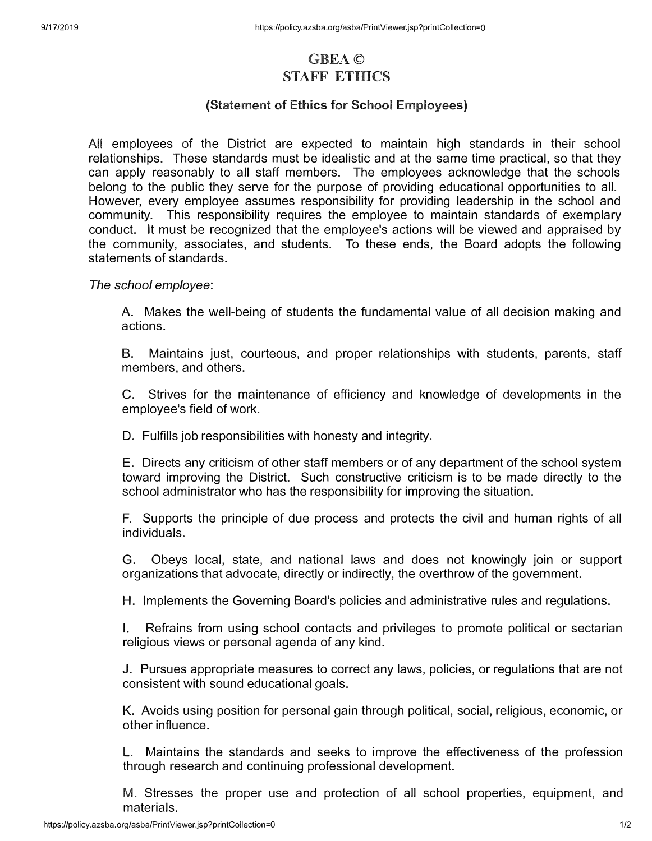## **GBEA© STAFF ETHICS**

## **(Statement of Ethics for School Employees)**

**All** employees **of** the District are expected to maintain high standards in **their** school relationships. These standards must be idealistic and at the same time practical, so that they can apply reasonably to all staff members. The employees acknowledge that the schools belong to the public they serve for the purpose of providing educational opportunities to all. However, every employee assumes responsibility for providing leadership in the school and community. This responsibility requires the employee to maintain standards **of** exemplary conduct. It must be recognized that the employee's actions will be viewed and appraised by the community, associates, and students. To these ends, the Board adopts the following statements of standards.

*The school employee:* 

A. Makes the well-being of students the fundamental value of all decision making and actions.

B. Maintains just, courteous, and proper relationships with students, parents, staff members, and others.

C. Strives for the maintenance of efficiency and knowledge of developments in the employee's field of work.

D. Fulfills job responsibilities with honesty and integrity.

E. Directs any criticism of other staff members or of any department of the school system toward improving the District. Such constructive criticism is to be made directly to the school administrator who has the responsibility for improving the situation.

F. Supports the principle of due process and protects the civil and human rights of all individuals.

G. Obeys local, state, and national laws and does not knowingly join or support organizations that advocate, directly or indirectly, the overthrow of the government.

H. Implements the Governing Board's policies and administrative rules and regulations.

I. Refrains from using school contacts and privileges to promote political or sectarian religious views or personal agenda of any kind.

J. Pursues appropriate measures to correct any laws, policies, or regulations that are not consistent with sound educational goals.

K. Avoids using position for personal gain through political, social, religious, economic, or other influence.

L. Maintains the standards and seeks to improve the effectiveness of the profession through research and continuing professional development.

**M.** Stresses **the** proper use and protection **of** all school properties, **equipment,** and materials.